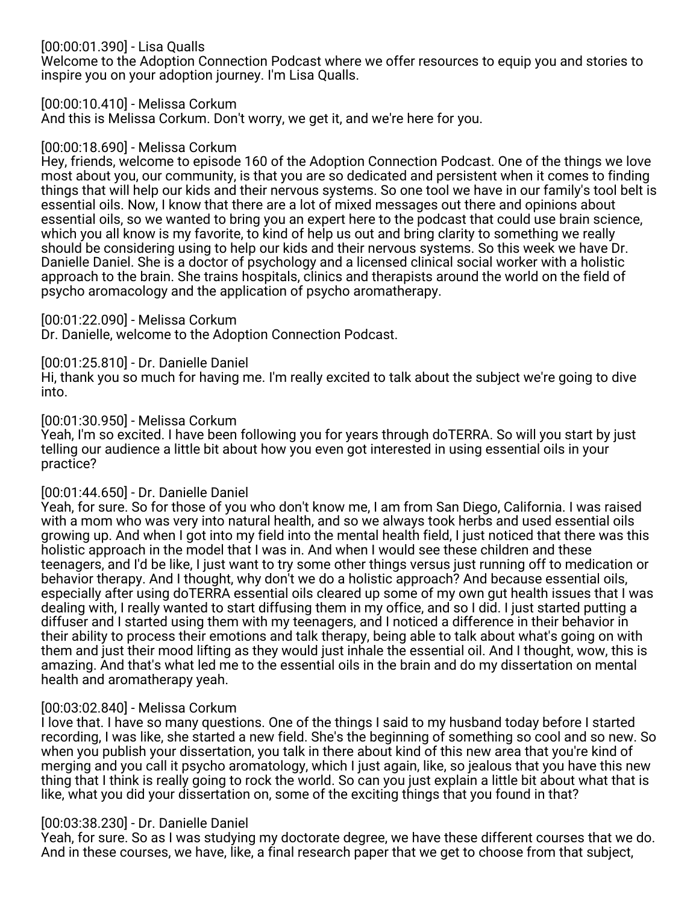# [00:00:01.390] - Lisa Qualls

Welcome to the Adoption Connection Podcast where we offer resources to equip you and stories to inspire you on your adoption journey. I'm Lisa Qualls.

## [00:00:10.410] - Melissa Corkum

And this is Melissa Corkum. Don't worry, we get it, and we're here for you.

## [00:00:18.690] - Melissa Corkum

Hey, friends, welcome to episode 160 of the Adoption Connection Podcast. One of the things we love most about you, our community, is that you are so dedicated and persistent when it comes to finding things that will help our kids and their nervous systems. So one tool we have in our family's tool belt is essential oils. Now, I know that there are a lot of mixed messages out there and opinions about essential oils, so we wanted to bring you an expert here to the podcast that could use brain science, which you all know is my favorite, to kind of help us out and bring clarity to something we really should be considering using to help our kids and their nervous systems. So this week we have Dr. Danielle Daniel. She is a doctor of psychology and a licensed clinical social worker with a holistic approach to the brain. She trains hospitals, clinics and therapists around the world on the field of psycho aromacology and the application of psycho aromatherapy.

## [00:01:22.090] - Melissa Corkum

Dr. Danielle, welcome to the Adoption Connection Podcast.

# [00:01:25.810] - Dr. Danielle Daniel

Hi, thank you so much for having me. I'm really excited to talk about the subject we're going to dive into.

## [00:01:30.950] - Melissa Corkum

Yeah, I'm so excited. I have been following you for years through doTERRA. So will you start by just telling our audience a little bit about how you even got interested in using essential oils in your practice?

# [00:01:44.650] - Dr. Danielle Daniel

Yeah, for sure. So for those of you who don't know me, I am from San Diego, California. I was raised with a mom who was very into natural health, and so we always took herbs and used essential oils growing up. And when I got into my field into the mental health field, I just noticed that there was this holistic approach in the model that I was in. And when I would see these children and these teenagers, and I'd be like, I just want to try some other things versus just running off to medication or behavior therapy. And I thought, why don't we do a holistic approach? And because essential oils, especially after using doTERRA essential oils cleared up some of my own gut health issues that I was dealing with, I really wanted to start diffusing them in my office, and so I did. I just started putting a diffuser and I started using them with my teenagers, and I noticed a difference in their behavior in their ability to process their emotions and talk therapy, being able to talk about what's going on with them and just their mood lifting as they would just inhale the essential oil. And I thought, wow, this is amazing. And that's what led me to the essential oils in the brain and do my dissertation on mental health and aromatherapy yeah.

# [00:03:02.840] - Melissa Corkum

I love that. I have so many questions. One of the things I said to my husband today before I started recording, I was like, she started a new field. She's the beginning of something so cool and so new. So when you publish your dissertation, you talk in there about kind of this new area that you're kind of merging and you call it psycho aromatology, which I just again, like, so jealous that you have this new thing that I think is really going to rock the world. So can you just explain a little bit about what that is like, what you did your dissertation on, some of the exciting things that you found in that?

# [00:03:38.230] - Dr. Danielle Daniel

Yeah, for sure. So as I was studying my doctorate degree, we have these different courses that we do. And in these courses, we have, like, a final research paper that we get to choose from that subject,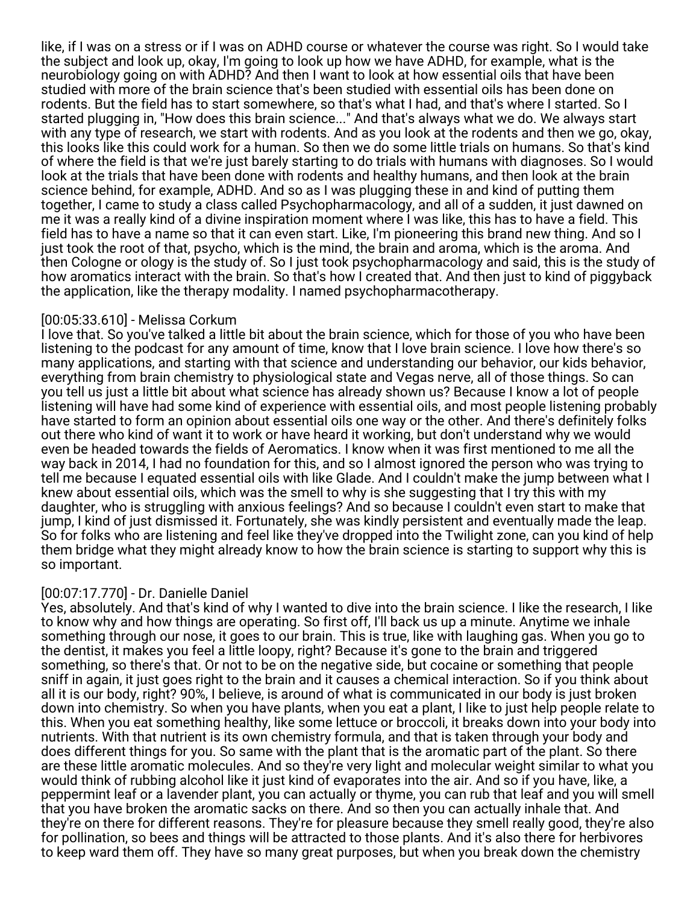like, if I was on a stress or if I was on ADHD course or whatever the course was right. So I would take the subject and look up, okay, I'm going to look up how we have ADHD, for example, what is the neurobiology going on with ADHD? And then I want to look at how essential oils that have been studied with more of the brain science that's been studied with essential oils has been done on rodents. But the field has to start somewhere, so that's what I had, and that's where I started. So I started plugging in, "How does this brain science..." And that's always what we do. We always start with any type of research, we start with rodents. And as you look at the rodents and then we go, okay, this looks like this could work for a human. So then we do some little trials on humans. So that's kind of where the field is that we're just barely starting to do trials with humans with diagnoses. So I would look at the trials that have been done with rodents and healthy humans, and then look at the brain science behind, for example, ADHD. And so as I was plugging these in and kind of putting them together, I came to study a class called Psychopharmacology, and all of a sudden, it just dawned on me it was a really kind of a divine inspiration moment where I was like, this has to have a field. This field has to have a name so that it can even start. Like, I'm pioneering this brand new thing. And so I just took the root of that, psycho, which is the mind, the brain and aroma, which is the aroma. And then Cologne or ology is the study of. So I just took psychopharmacology and said, this is the study of how aromatics interact with the brain. So that's how I created that. And then just to kind of piggyback the application, like the therapy modality. I named psychopharmacotherapy.

## [00:05:33.610] - Melissa Corkum

I love that. So you've talked a little bit about the brain science, which for those of you who have been listening to the podcast for any amount of time, know that I love brain science. I love how there's so many applications, and starting with that science and understanding our behavior, our kids behavior, everything from brain chemistry to physiological state and Vegas nerve, all of those things. So can you tell us just a little bit about what science has already shown us? Because I know a lot of people listening will have had some kind of experience with essential oils, and most people listening probably have started to form an opinion about essential oils one way or the other. And there's definitely folks out there who kind of want it to work or have heard it working, but don't understand why we would even be headed towards the fields of Aeromatics. I know when it was first mentioned to me all the way back in 2014, I had no foundation for this, and so I almost ignored the person who was trying to tell me because I equated essential oils with like Glade. And I couldn't make the jump between what I knew about essential oils, which was the smell to why is she suggesting that I try this with my daughter, who is struggling with anxious feelings? And so because I couldn't even start to make that jump, I kind of just dismissed it. Fortunately, she was kindly persistent and eventually made the leap. So for folks who are listening and feel like they've dropped into the Twilight zone, can you kind of help them bridge what they might already know to how the brain science is starting to support why this is so important.

## [00:07:17.770] - Dr. Danielle Daniel

Yes, absolutely. And that's kind of why I wanted to dive into the brain science. I like the research, I like to know why and how things are operating. So first off, I'll back us up a minute. Anytime we inhale something through our nose, it goes to our brain. This is true, like with laughing gas. When you go to the dentist, it makes you feel a little loopy, right? Because it's gone to the brain and triggered something, so there's that. Or not to be on the negative side, but cocaine or something that people sniff in again, it just goes right to the brain and it causes a chemical interaction. So if you think about all it is our body, right? 90%, I believe, is around of what is communicated in our body is just broken down into chemistry. So when you have plants, when you eat a plant, I like to just help people relate to this. When you eat something healthy, like some lettuce or broccoli, it breaks down into your body into nutrients. With that nutrient is its own chemistry formula, and that is taken through your body and does different things for you. So same with the plant that is the aromatic part of the plant. So there are these little aromatic molecules. And so they're very light and molecular weight similar to what you would think of rubbing alcohol like it just kind of evaporates into the air. And so if you have, like, a peppermint leaf or a lavender plant, you can actually or thyme, you can rub that leaf and you will smell that you have broken the aromatic sacks on there. And so then you can actually inhale that. And they're on there for different reasons. They're for pleasure because they smell really good, they're also for pollination, so bees and things will be attracted to those plants. And it's also there for herbivores to keep ward them off. They have so many great purposes, but when you break down the chemistry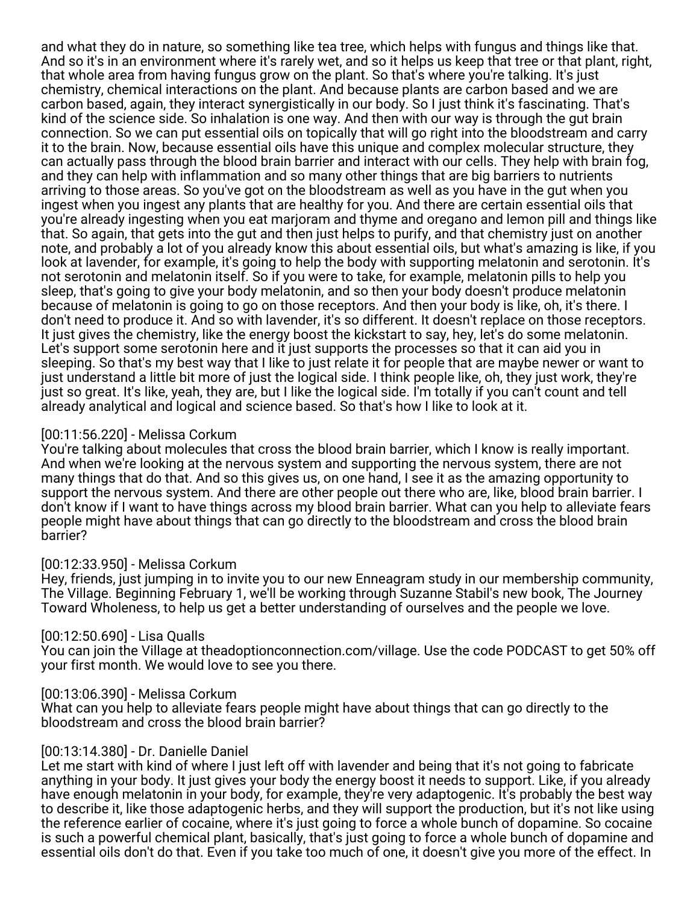and what they do in nature, so something like tea tree, which helps with fungus and things like that. And so it's in an environment where it's rarely wet, and so it helps us keep that tree or that plant, right, that whole area from having fungus grow on the plant. So that's where you're talking. It's just chemistry, chemical interactions on the plant. And because plants are carbon based and we are carbon based, again, they interact synergistically in our body. So I just think it's fascinating. That's kind of the science side. So inhalation is one way. And then with our way is through the gut brain connection. So we can put essential oils on topically that will go right into the bloodstream and carry it to the brain. Now, because essential oils have this unique and complex molecular structure, they can actually pass through the blood brain barrier and interact with our cells. They help with brain fog, and they can help with inflammation and so many other things that are big barriers to nutrients arriving to those areas. So you've got on the bloodstream as well as you have in the gut when you ingest when you ingest any plants that are healthy for you. And there are certain essential oils that you're already ingesting when you eat marjoram and thyme and oregano and lemon pill and things like that. So again, that gets into the gut and then just helps to purify, and that chemistry just on another note, and probably a lot of you already know this about essential oils, but what's amazing is like, if you look at lavender, for example, it's going to help the body with supporting melatonin and serotonin. It's not serotonin and melatonin itself. So if you were to take, for example, melatonin pills to help you sleep, that's going to give your body melatonin, and so then your body doesn't produce melatonin because of melatonin is going to go on those receptors. And then your body is like, oh, it's there. I don't need to produce it. And so with lavender, it's so different. It doesn't replace on those receptors. It just gives the chemistry, like the energy boost the kickstart to say, hey, let's do some melatonin. Let's support some serotonin here and it just supports the processes so that it can aid you in sleeping. So that's my best way that I like to just relate it for people that are maybe newer or want to just understand a little bit more of just the logical side. I think people like, oh, they just work, they're just so great. It's like, yeah, they are, but I like the logical side. I'm totally if you can't count and tell already analytical and logical and science based. So that's how I like to look at it.

## [00:11:56.220] - Melissa Corkum

You're talking about molecules that cross the blood brain barrier, which I know is really important. And when we're looking at the nervous system and supporting the nervous system, there are not many things that do that. And so this gives us, on one hand, I see it as the amazing opportunity to support the nervous system. And there are other people out there who are, like, blood brain barrier. I don't know if I want to have things across my blood brain barrier. What can you help to alleviate fears people might have about things that can go directly to the bloodstream and cross the blood brain barrier?

# [00:12:33.950] - Melissa Corkum

Hey, friends, just jumping in to invite you to our new Enneagram study in our membership community, The Village. Beginning February 1, we'll be working through Suzanne Stabil's new book, The Journey Toward Wholeness, to help us get a better understanding of ourselves and the people we love.

# [00:12:50.690] - Lisa Qualls

You can join the Village at theadoptionconnection.com/village. Use the code PODCAST to get 50% off your first month. We would love to see you there.

## [00:13:06.390] - Melissa Corkum

What can you help to alleviate fears people might have about things that can go directly to the bloodstream and cross the blood brain barrier?

## [00:13:14.380] - Dr. Danielle Daniel

Let me start with kind of where I just left off with lavender and being that it's not going to fabricate anything in your body. It just gives your body the energy boost it needs to support. Like, if you already have enough melatonin in your body, for example, they're very adaptogenic. It's probably the best way to describe it, like those adaptogenic herbs, and they will support the production, but it's not like using the reference earlier of cocaine, where it's just going to force a whole bunch of dopamine. So cocaine is such a powerful chemical plant, basically, that's just going to force a whole bunch of dopamine and essential oils don't do that. Even if you take too much of one, it doesn't give you more of the effect. In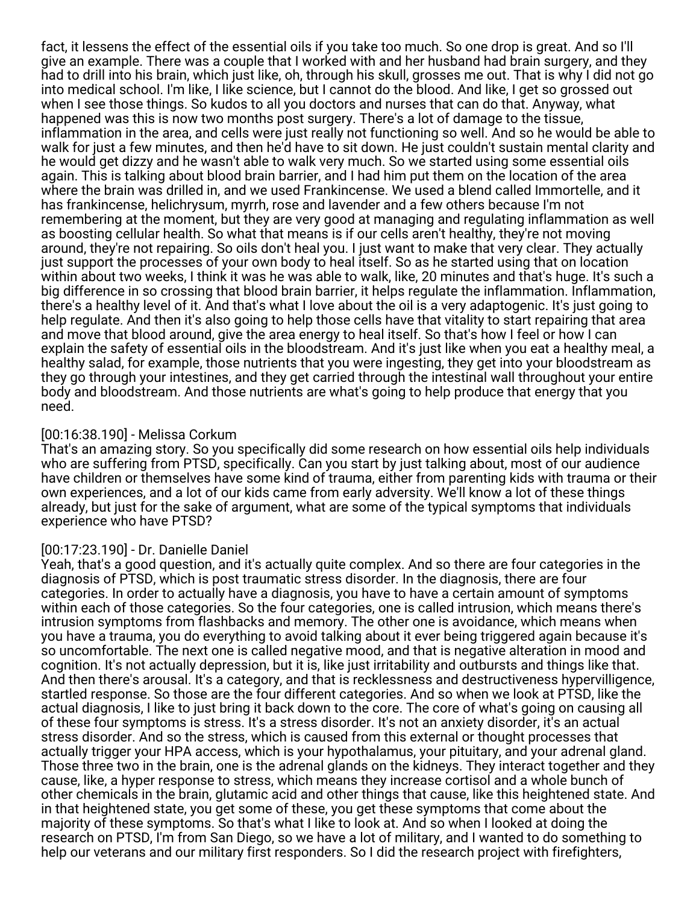fact, it lessens the effect of the essential oils if you take too much. So one drop is great. And so I'll give an example. There was a couple that I worked with and her husband had brain surgery, and they had to drill into his brain, which just like, oh, through his skull, grosses me out. That is why I did not go into medical school. I'm like, I like science, but I cannot do the blood. And like, I get so grossed out when I see those things. So kudos to all you doctors and nurses that can do that. Anyway, what happened was this is now two months post surgery. There's a lot of damage to the tissue, inflammation in the area, and cells were just really not functioning so well. And so he would be able to walk for just a few minutes, and then he'd have to sit down. He just couldn't sustain mental clarity and he would get dizzy and he wasn't able to walk very much. So we started using some essential oils again. This is talking about blood brain barrier, and I had him put them on the location of the area where the brain was drilled in, and we used Frankincense. We used a blend called Immortelle, and it has frankincense, helichrysum, myrrh, rose and lavender and a few others because I'm not remembering at the moment, but they are very good at managing and regulating inflammation as well as boosting cellular health. So what that means is if our cells aren't healthy, they're not moving around, they're not repairing. So oils don't heal you. I just want to make that very clear. They actually just support the processes of your own body to heal itself. So as he started using that on location within about two weeks, I think it was he was able to walk, like, 20 minutes and that's huge. It's such a big difference in so crossing that blood brain barrier, it helps regulate the inflammation. Inflammation, there's a healthy level of it. And that's what I love about the oil is a very adaptogenic. It's just going to help regulate. And then it's also going to help those cells have that vitality to start repairing that area and move that blood around, give the area energy to heal itself. So that's how I feel or how I can explain the safety of essential oils in the bloodstream. And it's just like when you eat a healthy meal, a healthy salad, for example, those nutrients that you were ingesting, they get into your bloodstream as they go through your intestines, and they get carried through the intestinal wall throughout your entire body and bloodstream. And those nutrients are what's going to help produce that energy that you need.

# [00:16:38.190] - Melissa Corkum

That's an amazing story. So you specifically did some research on how essential oils help individuals who are suffering from PTSD, specifically. Can you start by just talking about, most of our audience have children or themselves have some kind of trauma, either from parenting kids with trauma or their own experiences, and a lot of our kids came from early adversity. We'll know a lot of these things already, but just for the sake of argument, what are some of the typical symptoms that individuals experience who have PTSD?

# [00:17:23.190] - Dr. Danielle Daniel

Yeah, that's a good question, and it's actually quite complex. And so there are four categories in the diagnosis of PTSD, which is post traumatic stress disorder. In the diagnosis, there are four categories. In order to actually have a diagnosis, you have to have a certain amount of symptoms within each of those categories. So the four categories, one is called intrusion, which means there's intrusion symptoms from flashbacks and memory. The other one is avoidance, which means when you have a trauma, you do everything to avoid talking about it ever being triggered again because it's so uncomfortable. The next one is called negative mood, and that is negative alteration in mood and cognition. It's not actually depression, but it is, like just irritability and outbursts and things like that. And then there's arousal. It's a category, and that is recklessness and destructiveness hypervilligence, startled response. So those are the four different categories. And so when we look at PTSD, like the actual diagnosis, I like to just bring it back down to the core. The core of what's going on causing all of these four symptoms is stress. It's a stress disorder. It's not an anxiety disorder, it's an actual stress disorder. And so the stress, which is caused from this external or thought processes that actually trigger your HPA access, which is your hypothalamus, your pituitary, and your adrenal gland. Those three two in the brain, one is the adrenal glands on the kidneys. They interact together and they cause, like, a hyper response to stress, which means they increase cortisol and a whole bunch of other chemicals in the brain, glutamic acid and other things that cause, like this heightened state. And in that heightened state, you get some of these, you get these symptoms that come about the majority of these symptoms. So that's what I like to look at. And so when I looked at doing the research on PTSD, I'm from San Diego, so we have a lot of military, and I wanted to do something to help our veterans and our military first responders. So I did the research project with firefighters,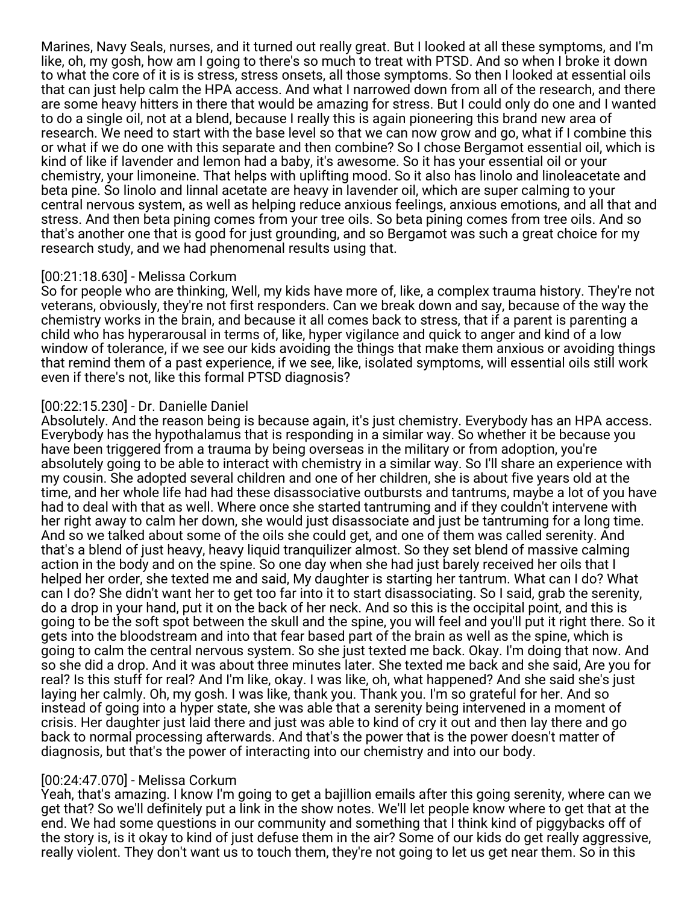Marines, Navy Seals, nurses, and it turned out really great. But I looked at all these symptoms, and I'm like, oh, my gosh, how am I going to there's so much to treat with PTSD. And so when I broke it down to what the core of it is is stress, stress onsets, all those symptoms. So then I looked at essential oils that can just help calm the HPA access. And what I narrowed down from all of the research, and there are some heavy hitters in there that would be amazing for stress. But I could only do one and I wanted to do a single oil, not at a blend, because I really this is again pioneering this brand new area of research. We need to start with the base level so that we can now grow and go, what if I combine this or what if we do one with this separate and then combine? So I chose Bergamot essential oil, which is kind of like if lavender and lemon had a baby, it's awesome. So it has your essential oil or your chemistry, your limoneine. That helps with uplifting mood. So it also has linolo and linoleacetate and beta pine. So linolo and linnal acetate are heavy in lavender oil, which are super calming to your central nervous system, as well as helping reduce anxious feelings, anxious emotions, and all that and stress. And then beta pining comes from your tree oils. So beta pining comes from tree oils. And so that's another one that is good for just grounding, and so Bergamot was such a great choice for my research study, and we had phenomenal results using that.

## [00:21:18.630] - Melissa Corkum

So for people who are thinking, Well, my kids have more of, like, a complex trauma history. They're not veterans, obviously, they're not first responders. Can we break down and say, because of the way the chemistry works in the brain, and because it all comes back to stress, that if a parent is parenting a child who has hyperarousal in terms of, like, hyper vigilance and quick to anger and kind of a low window of tolerance, if we see our kids avoiding the things that make them anxious or avoiding things that remind them of a past experience, if we see, like, isolated symptoms, will essential oils still work even if there's not, like this formal PTSD diagnosis?

## [00:22:15.230] - Dr. Danielle Daniel

Absolutely. And the reason being is because again, it's just chemistry. Everybody has an HPA access. Everybody has the hypothalamus that is responding in a similar way. So whether it be because you have been triggered from a trauma by being overseas in the military or from adoption, you're absolutely going to be able to interact with chemistry in a similar way. So I'll share an experience with my cousin. She adopted several children and one of her children, she is about five years old at the time, and her whole life had had these disassociative outbursts and tantrums, maybe a lot of you have had to deal with that as well. Where once she started tantruming and if they couldn't intervene with her right away to calm her down, she would just disassociate and just be tantruming for a long time. And so we talked about some of the oils she could get, and one of them was called serenity. And that's a blend of just heavy, heavy liquid tranquilizer almost. So they set blend of massive calming action in the body and on the spine. So one day when she had just barely received her oils that I helped her order, she texted me and said, My daughter is starting her tantrum. What can I do? What can I do? She didn't want her to get too far into it to start disassociating. So I said, grab the serenity, do a drop in your hand, put it on the back of her neck. And so this is the occipital point, and this is going to be the soft spot between the skull and the spine, you will feel and you'll put it right there. So it gets into the bloodstream and into that fear based part of the brain as well as the spine, which is going to calm the central nervous system. So she just texted me back. Okay. I'm doing that now. And so she did a drop. And it was about three minutes later. She texted me back and she said, Are you for real? Is this stuff for real? And I'm like, okay. I was like, oh, what happened? And she said she's just laying her calmly. Oh, my gosh. I was like, thank you. Thank you. I'm so grateful for her. And so instead of going into a hyper state, she was able that a serenity being intervened in a moment of crisis. Her daughter just laid there and just was able to kind of cry it out and then lay there and go back to normal processing afterwards. And that's the power that is the power doesn't matter of diagnosis, but that's the power of interacting into our chemistry and into our body.

## [00:24:47.070] - Melissa Corkum

Yeah, that's amazing. I know I'm going to get a bajillion emails after this going serenity, where can we get that? So we'll definitely put a link in the show notes. We'll let people know where to get that at the end. We had some questions in our community and something that I think kind of piggybacks off of the story is, is it okay to kind of just defuse them in the air? Some of our kids do get really aggressive, really violent. They don't want us to touch them, they're not going to let us get near them. So in this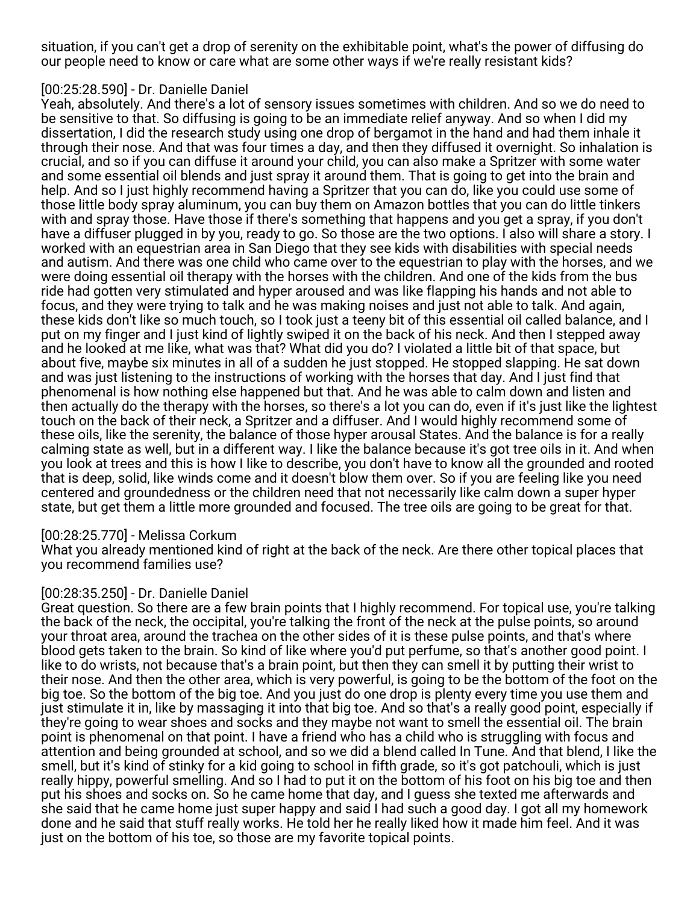situation, if you can't get a drop of serenity on the exhibitable point, what's the power of diffusing do our people need to know or care what are some other ways if we're really resistant kids?

# [00:25:28.590] - Dr. Danielle Daniel

Yeah, absolutely. And there's a lot of sensory issues sometimes with children. And so we do need to be sensitive to that. So diffusing is going to be an immediate relief anyway. And so when I did my dissertation, I did the research study using one drop of bergamot in the hand and had them inhale it through their nose. And that was four times a day, and then they diffused it overnight. So inhalation is crucial, and so if you can diffuse it around your child, you can also make a Spritzer with some water and some essential oil blends and just spray it around them. That is going to get into the brain and help. And so I just highly recommend having a Spritzer that you can do, like you could use some of those little body spray aluminum, you can buy them on Amazon bottles that you can do little tinkers with and spray those. Have those if there's something that happens and you get a spray, if you don't have a diffuser plugged in by you, ready to go. So those are the two options. I also will share a story. I worked with an equestrian area in San Diego that they see kids with disabilities with special needs and autism. And there was one child who came over to the equestrian to play with the horses, and we were doing essential oil therapy with the horses with the children. And one of the kids from the bus ride had gotten very stimulated and hyper aroused and was like flapping his hands and not able to focus, and they were trying to talk and he was making noises and just not able to talk. And again, these kids don't like so much touch, so I took just a teeny bit of this essential oil called balance, and I put on my finger and I just kind of lightly swiped it on the back of his neck. And then I stepped away and he looked at me like, what was that? What did you do? I violated a little bit of that space, but about five, maybe six minutes in all of a sudden he just stopped. He stopped slapping. He sat down and was just listening to the instructions of working with the horses that day. And I just find that phenomenal is how nothing else happened but that. And he was able to calm down and listen and then actually do the therapy with the horses, so there's a lot you can do, even if it's just like the lightest touch on the back of their neck, a Spritzer and a diffuser. And I would highly recommend some of these oils, like the serenity, the balance of those hyper arousal States. And the balance is for a really calming state as well, but in a different way. I like the balance because it's got tree oils in it. And when you look at trees and this is how I like to describe, you don't have to know all the grounded and rooted that is deep, solid, like winds come and it doesn't blow them over. So if you are feeling like you need centered and groundedness or the children need that not necessarily like calm down a super hyper state, but get them a little more grounded and focused. The tree oils are going to be great for that.

## [00:28:25.770] - Melissa Corkum

What you already mentioned kind of right at the back of the neck. Are there other topical places that you recommend families use?

## [00:28:35.250] - Dr. Danielle Daniel

Great question. So there are a few brain points that I highly recommend. For topical use, you're talking the back of the neck, the occipital, you're talking the front of the neck at the pulse points, so around your throat area, around the trachea on the other sides of it is these pulse points, and that's where blood gets taken to the brain. So kind of like where you'd put perfume, so that's another good point. I like to do wrists, not because that's a brain point, but then they can smell it by putting their wrist to their nose. And then the other area, which is very powerful, is going to be the bottom of the foot on the big toe. So the bottom of the big toe. And you just do one drop is plenty every time you use them and just stimulate it in, like by massaging it into that big toe. And so that's a really good point, especially if they're going to wear shoes and socks and they maybe not want to smell the essential oil. The brain point is phenomenal on that point. I have a friend who has a child who is struggling with focus and attention and being grounded at school, and so we did a blend called In Tune. And that blend, I like the smell, but it's kind of stinky for a kid going to school in fifth grade, so it's got patchouli, which is just really hippy, powerful smelling. And so I had to put it on the bottom of his foot on his big toe and then put his shoes and socks on. So he came home that day, and I guess she texted me afterwards and she said that he came home just super happy and said I had such a good day. I got all my homework done and he said that stuff really works. He told her he really liked how it made him feel. And it was just on the bottom of his toe, so those are my favorite topical points.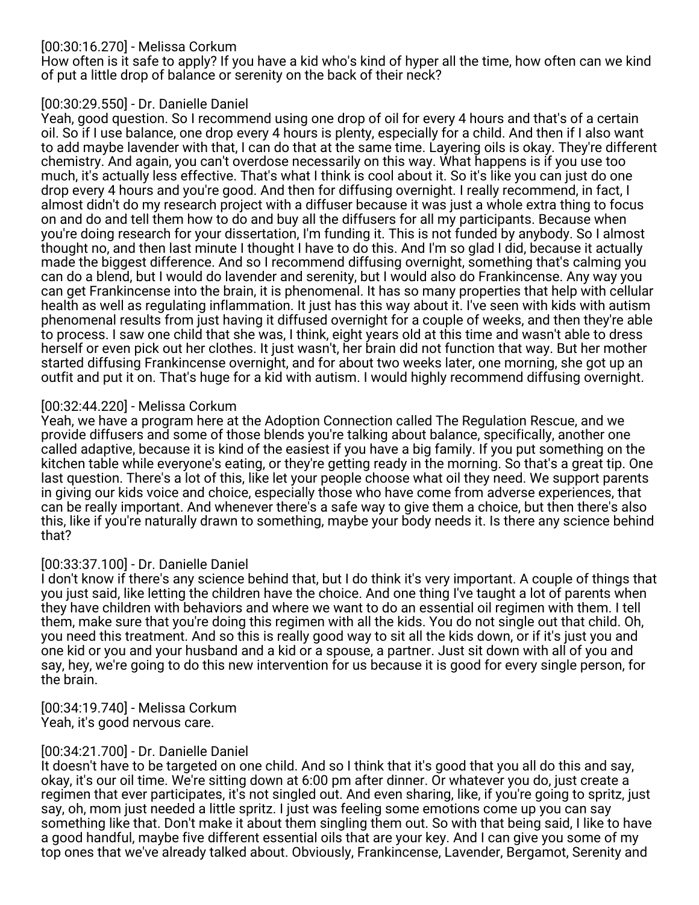# [00:30:16.270] - Melissa Corkum

How often is it safe to apply? If you have a kid who's kind of hyper all the time, how often can we kind of put a little drop of balance or serenity on the back of their neck?

# [00:30:29.550] - Dr. Danielle Daniel

Yeah, good question. So I recommend using one drop of oil for every 4 hours and that's of a certain oil. So if I use balance, one drop every 4 hours is plenty, especially for a child. And then if I also want to add maybe lavender with that, I can do that at the same time. Layering oils is okay. They're different chemistry. And again, you can't overdose necessarily on this way. What happens is if you use too much, it's actually less effective. That's what I think is cool about it. So it's like you can just do one drop every 4 hours and you're good. And then for diffusing overnight. I really recommend, in fact, I almost didn't do my research project with a diffuser because it was just a whole extra thing to focus on and do and tell them how to do and buy all the diffusers for all my participants. Because when you're doing research for your dissertation, I'm funding it. This is not funded by anybody. So I almost thought no, and then last minute I thought I have to do this. And I'm so glad I did, because it actually made the biggest difference. And so I recommend diffusing overnight, something that's calming you can do a blend, but I would do lavender and serenity, but I would also do Frankincense. Any way you can get Frankincense into the brain, it is phenomenal. It has so many properties that help with cellular health as well as regulating inflammation. It just has this way about it. I've seen with kids with autism phenomenal results from just having it diffused overnight for a couple of weeks, and then they're able to process. I saw one child that she was, I think, eight years old at this time and wasn't able to dress herself or even pick out her clothes. It just wasn't, her brain did not function that way. But her mother started diffusing Frankincense overnight, and for about two weeks later, one morning, she got up an outfit and put it on. That's huge for a kid with autism. I would highly recommend diffusing overnight.

# [00:32:44.220] - Melissa Corkum

Yeah, we have a program here at the Adoption Connection called The Regulation Rescue, and we provide diffusers and some of those blends you're talking about balance, specifically, another one called adaptive, because it is kind of the easiest if you have a big family. If you put something on the kitchen table while everyone's eating, or they're getting ready in the morning. So that's a great tip. One last question. There's a lot of this, like let your people choose what oil they need. We support parents in giving our kids voice and choice, especially those who have come from adverse experiences, that can be really important. And whenever there's a safe way to give them a choice, but then there's also this, like if you're naturally drawn to something, maybe your body needs it. Is there any science behind that?

# [00:33:37.100] - Dr. Danielle Daniel

I don't know if there's any science behind that, but I do think it's very important. A couple of things that you just said, like letting the children have the choice. And one thing I've taught a lot of parents when they have children with behaviors and where we want to do an essential oil regimen with them. I tell them, make sure that you're doing this regimen with all the kids. You do not single out that child. Oh, you need this treatment. And so this is really good way to sit all the kids down, or if it's just you and one kid or you and your husband and a kid or a spouse, a partner. Just sit down with all of you and say, hey, we're going to do this new intervention for us because it is good for every single person, for the brain.

[00:34:19.740] - Melissa Corkum Yeah, it's good nervous care.

## [00:34:21.700] - Dr. Danielle Daniel

It doesn't have to be targeted on one child. And so I think that it's good that you all do this and say, okay, it's our oil time. We're sitting down at 6:00 pm after dinner. Or whatever you do, just create a regimen that ever participates, it's not singled out. And even sharing, like, if you're going to spritz, just say, oh, mom just needed a little spritz. I just was feeling some emotions come up you can say something like that. Don't make it about them singling them out. So with that being said, I like to have a good handful, maybe five different essential oils that are your key. And I can give you some of my top ones that we've already talked about. Obviously, Frankincense, Lavender, Bergamot, Serenity and